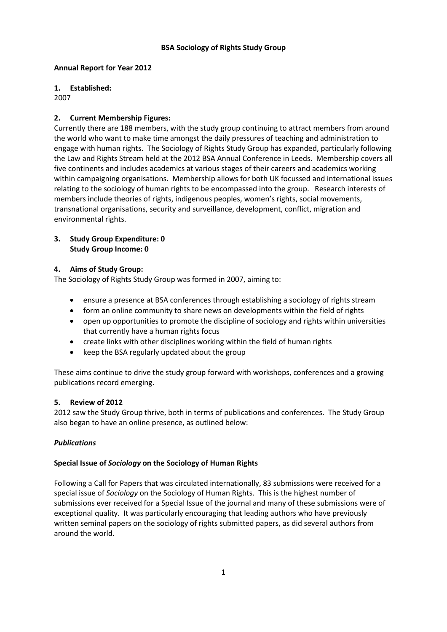### **Annual Report for Year 2012**

## **1. Established:**

2007

# **2. Current Membership Figures:**

Currently there are 188 members, with the study group continuing to attract members from around the world who want to make time amongst the daily pressures of teaching and administration to engage with human rights. The Sociology of Rights Study Group has expanded, particularly following the Law and Rights Stream held at the 2012 BSA Annual Conference in Leeds. Membership covers all five continents and includes academics at various stages of their careers and academics working within campaigning organisations. Membership allows for both UK focussed and international issues relating to the sociology of human rights to be encompassed into the group. Research interests of members include theories of rights, indigenous peoples, women's rights, social movements, transnational organisations, security and surveillance, development, conflict, migration and environmental rights.

### **3. Study Group Expenditure: 0 Study Group Income: 0**

## **4. Aims of Study Group:**

The Sociology of Rights Study Group was formed in 2007, aiming to:

- ensure a presence at BSA conferences through establishing a sociology of rights stream
- form an online community to share news on developments within the field of rights
- open up opportunities to promote the discipline of sociology and rights within universities that currently have a human rights focus
- create links with other disciplines working within the field of human rights
- keep the BSA regularly updated about the group

These aims continue to drive the study group forward with workshops, conferences and a growing publications record emerging.

### **5. Review of 2012**

2012 saw the Study Group thrive, both in terms of publications and conferences. The Study Group also began to have an online presence, as outlined below:

# *Publications*

### **Special Issue of** *Sociology* **on the Sociology of Human Rights**

Following a Call for Papers that was circulated internationally, 83 submissions were received for a special issue of *Sociology* on the Sociology of Human Rights. This is the highest number of submissions ever received for a Special Issue of the journal and many of these submissions were of exceptional quality. It was particularly encouraging that leading authors who have previously written seminal papers on the sociology of rights submitted papers, as did several authors from around the world.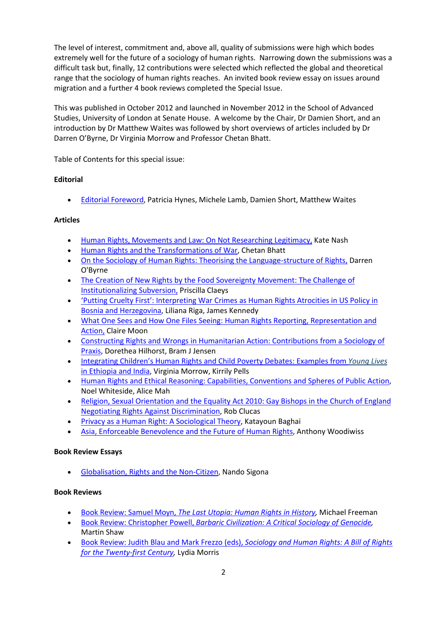The level of interest, commitment and, above all, quality of submissions were high which bodes extremely well for the future of a sociology of human rights. Narrowing down the submissions was a difficult task but, finally, 12 contributions were selected which reflected the global and theoretical range that the sociology of human rights reaches. An invited book review essay on issues around migration and a further 4 book reviews completed the Special Issue.

This was published in October 2012 and launched in November 2012 in the School of Advanced Studies, University of London at Senate House. A welcome by the Chair, Dr Damien Short, and an introduction by Dr Matthew Waites was followed by short overviews of articles included by Dr Darren O'Byrne, Dr Virginia Morrow and Professor Chetan Bhatt.

Table of Contents for this special issue:

## **Editorial**

• [Editorial Foreword,](http://soc.sagepub.com/content/46/5/787.full.pdf+html) Patricia Hynes, Michele Lamb, Damien Short, Matthew Waites

## **Articles**

- [Human Rights, Movements and Law: On Not Researching Legitimacy,](http://soc.sagepub.com/content/46/5/797.abstract) Kate Nash
- [Human Rights and the Transformations of War,](http://soc.sagepub.com/content/46/5/813.abstract) Chetan Bhatt
- [On the Sociology of Human Rights: Theorising the Language-structure of Rights,](http://soc.sagepub.com/content/46/5/829.abstract) Darren O'Byrne
- [The Creation of New Rights by the Food Sovereignty Movement: The Challenge of](http://soc.sagepub.com/content/46/5/844.abstract) [Institutionalizing Subversion,](http://soc.sagepub.com/content/46/5/844.abstract) Priscilla Claeys
- ['Putting Cruelty First': Interpreting War Crimes as Human Rights Atrocities in US Policy in](http://soc.sagepub.com/content/46/5/861.abstract)  [Bosnia and Herzegovina,](http://soc.sagepub.com/content/46/5/861.abstract) Liliana Riga, James Kennedy
- [What One Sees and How One Files Seeing: Human Rights Reporting, Representation and](http://soc.sagepub.com/content/46/5/876.abstract)  [Action,](http://soc.sagepub.com/content/46/5/876.abstract) Claire Moon
- [Constructing Rights and Wrongs in Humanitarian Action: Contributions from a Sociology of](http://soc.sagepub.com/content/46/5/891.abstract)  [Praxis,](http://soc.sagepub.com/content/46/5/891.abstract) Dorethea Hilhorst, Bram J Jensen
- [Integrating Children's Human Rights and Child Poverty Debates: Examples from](http://soc.sagepub.com/content/46/5/906.abstract) *Young Lives* [in Ethiopia and India,](http://soc.sagepub.com/content/46/5/906.abstract) Virginia Morrow, Kirrily Pells
- [Human Rights and Ethical Reasoning: Capabilities, Conventions and Spheres of Public Action,](http://soc.sagepub.com/content/46/5/921.abstract) Noel Whiteside, Alice Mah
- [Religion, Sexual Orientation and the Equality Act 2010: Gay Bishops in the Church of England](http://soc.sagepub.com/content/46/5/936.abstract)  [Negotiating Rights Against Discrimination,](http://soc.sagepub.com/content/46/5/936.abstract) Rob Clucas
- [Privacy as a Human Right: A Sociological Theory,](http://soc.sagepub.com/content/46/5/951.abstract) Katayoun Baghai
- [Asia, Enforceable Benevolence and the Future of Human Rights,](http://soc.sagepub.com/content/46/5/966.abstract) Anthony Woodiwiss

### **Book Review Essays**

• [Globalisation, Rights and the Non-Citizen,](http://soc.sagepub.com/content/46/5.toc) Nando Sigona

### **Book Reviews**

- [Book Review: Samuel Moyn,](http://soc.sagepub.com/content/current) *[The Last Utopia: Human Rights in History,](http://soc.sagepub.com/content/current)* Michael Freeman
- [Book Review: Christopher Powell,](http://soc.sagepub.com/content/current) *[Barbaric Civilization: A Critical Sociology of Genocide,](http://soc.sagepub.com/content/current)*  Martin Shaw
- [Book Review: Judith Blau and Mark Frezzo \(eds\),](http://soc.sagepub.com/content/current) *[Sociology and Human Rights: A Bill of Rights](http://soc.sagepub.com/content/current)  [for the Twenty-first Century,](http://soc.sagepub.com/content/current)* Lydia Morris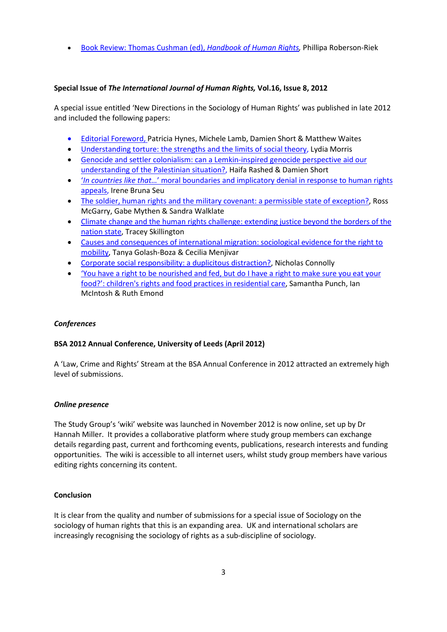• [Book Review: Thomas Cushman \(ed\),](http://soc.sagepub.com/content/current) *[Handbook of Human Rights,](http://soc.sagepub.com/content/current)* Phillipa Roberson-Riek

# **Special Issue of** *The International Journal of Human Rights,* **Vol.16, Issue 8, 2012**

A special issue entitled 'New Directions in the Sociology of Human Rights' was published in late 2012 and included the following papers:

- Editorial Foreword, Patricia Hynes, Michele Lamb, Damien Short & Matthew Waite[s](http://www.tandfonline.com/doi/full/10.1080/13642987.2012.727803)
- [Understanding torture: the strengths and the limits of social theory, Lydia Morris](http://www.tandfonline.com/doi/full/10.1080/13642987.2012.727803)
- [Genocide and settler colonialism: can a Lemkin-inspired genocide perspective aid our](http://www.tandfonline.com/doi/full/10.1080/13642987.2012.735494)  [understanding of the Palestinian situation?, Haifa Rashed & Damien](http://www.tandfonline.com/doi/full/10.1080/13642987.2012.735494) Short
- '*In countries like that…*[' moral boundaries and implicatory denial in response to human rights](http://www.tandfonline.com/doi/full/10.1080/13642987.2012.728856)  [appeals, Irene Bruna Seu](http://www.tandfonline.com/doi/full/10.1080/13642987.2012.728856)
- [The soldier, human rights and the military covenant: a permissible state of exception?, Ross](http://www.tandfonline.com/doi/full/10.1080/13642987.2012.728857)  [McGarry, Gabe Mythen & Sandra Walklate](http://www.tandfonline.com/doi/full/10.1080/13642987.2012.728857)
- [Climate change and the human rights challenge: extending justice beyond the borders of the](http://www.tandfonline.com/doi/full/10.1080/13642987.2012.728859)  [nation state, Tracey Skillington](http://www.tandfonline.com/doi/full/10.1080/13642987.2012.728859)
- [Causes and consequences of international migration: sociological evidence for the right to](http://www.tandfonline.com/doi/full/10.1080/13642987.2012.727802)  [mobility, Tanya Golash-Boza & Cecilia Menjivar](http://www.tandfonline.com/doi/full/10.1080/13642987.2012.727802)
- Corporate social responsibility: a duplicitous distraction?, Nicholas Connolly
- ['You have a right to be nourished and fed, but do I have a right to make sure you eat your](http://www.tandfonline.com/doi/full/10.1080/13642987.2012.728858)  [food?': children's rights and food practices in residential care, Samantha Punch, Ian](http://www.tandfonline.com/doi/full/10.1080/13642987.2012.728858)  [McIntosh & Ruth Emond](http://www.tandfonline.com/doi/full/10.1080/13642987.2012.728858)

# *Conferences*

# **BSA 2012 Annual Conference, University of Leeds (April 2012)**

A 'Law, Crime and Rights' Stream at the BSA Annual Conference in 2012 attracted an extremely high level of submissions.

### *Online presence*

The Study Group's 'wiki' website was launched in November 2012 is now online, set up by Dr Hannah Miller. It provides a collaborative platform where study group members can exchange details regarding past, current and forthcoming events, publications, research interests and funding opportunities. The wiki is accessible to all internet users, whilst study group members have various editing rights concerning its content.

### **Conclusion**

It is clear from the quality and number of submissions for a special issue of Sociology on the sociology of human rights that this is an expanding area. UK and international scholars are increasingly recognising the sociology of rights as a sub-discipline of sociology.